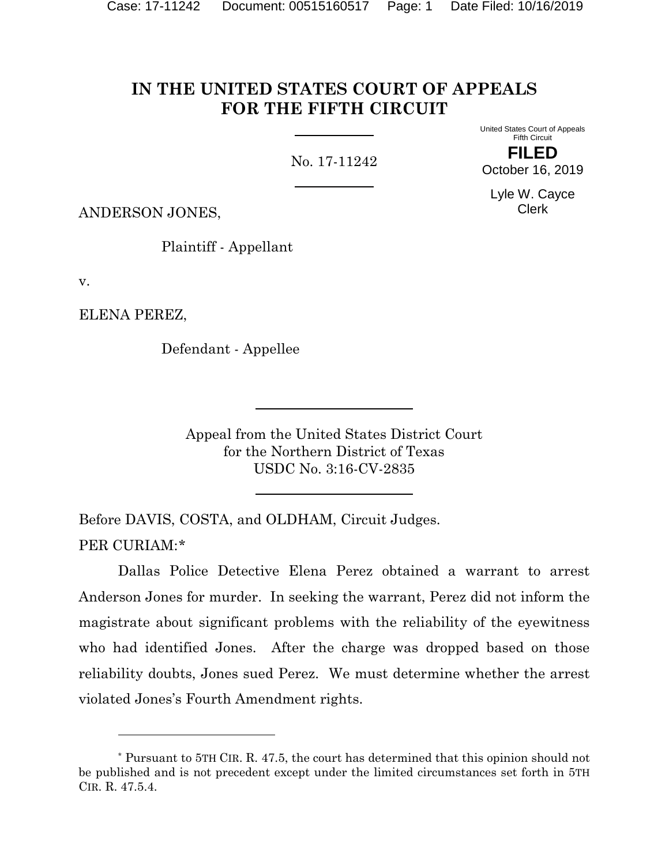# **IN THE UNITED STATES COURT OF APPEALS FOR THE FIFTH CIRCUIT**

No. 17-11242

United States Court of Appeals Fifth Circuit **FILED**

October 16, 2019 Lyle W. Cayce

Clerk

ANDERSON JONES,

Plaintiff - Appellant

v.

ELENA PEREZ,

Defendant - Appellee

Appeal from the United States District Court for the Northern District of Texas USDC No. 3:16-CV-2835

Before DAVIS, COSTA, and OLDHAM, Circuit Judges. PER CURIAM:[\\*](#page-0-0)

Dallas Police Detective Elena Perez obtained a warrant to arrest Anderson Jones for murder. In seeking the warrant, Perez did not inform the magistrate about significant problems with the reliability of the eyewitness who had identified Jones. After the charge was dropped based on those reliability doubts, Jones sued Perez. We must determine whether the arrest violated Jones's Fourth Amendment rights.

<span id="page-0-0"></span><sup>\*</sup> Pursuant to 5TH CIR. R. 47.5, the court has determined that this opinion should not be published and is not precedent except under the limited circumstances set forth in 5TH CIR. R. 47.5.4.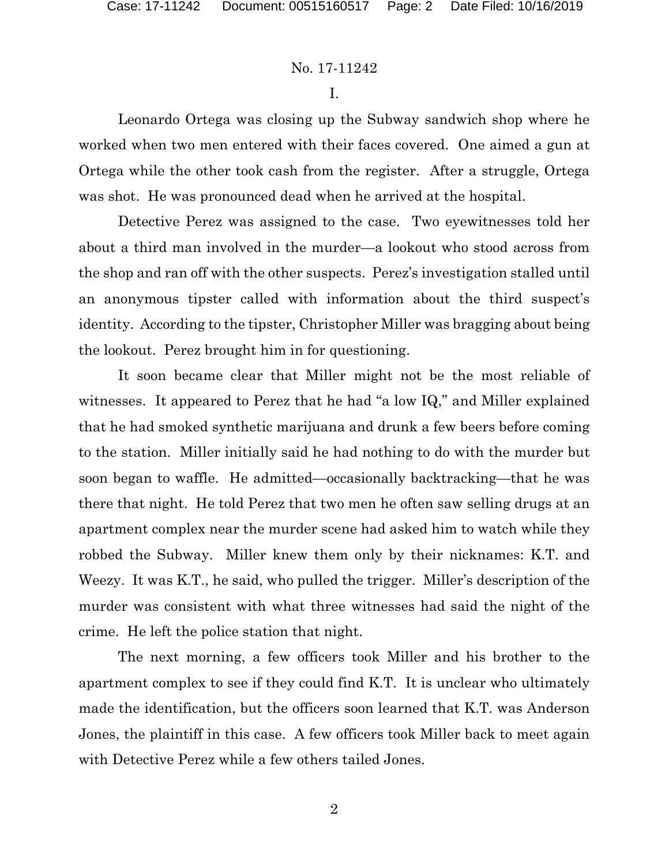I.

Leonardo Ortega was closing up the Subway sandwich shop where he worked when two men entered with their faces covered. One aimed a gun at Ortega while the other took cash from the register. After a struggle, Ortega was shot. He was pronounced dead when he arrived at the hospital.

Detective Perez was assigned to the case. Two eyewitnesses told her about a third man involved in the murder—a lookout who stood across from the shop and ran off with the other suspects. Perez's investigation stalled until an anonymous tipster called with information about the third suspect's identity. According to the tipster, Christopher Miller was bragging about being the lookout. Perez brought him in for questioning.

It soon became clear that Miller might not be the most reliable of witnesses. It appeared to Perez that he had "a low IQ," and Miller explained that he had smoked synthetic marijuana and drunk a few beers before coming to the station. Miller initially said he had nothing to do with the murder but soon began to waffle. He admitted—occasionally backtracking—that he was there that night. He told Perez that two men he often saw selling drugs at an apartment complex near the murder scene had asked him to watch while they robbed the Subway. Miller knew them only by their nicknames: K.T. and Weezy. It was K.T., he said, who pulled the trigger. Miller's description of the murder was consistent with what three witnesses had said the night of the crime. He left the police station that night.

The next morning, a few officers took Miller and his brother to the apartment complex to see if they could find K.T. It is unclear who ultimately made the identification, but the officers soon learned that K.T. was Anderson Jones, the plaintiff in this case. A few officers took Miller back to meet again with Detective Perez while a few others tailed Jones.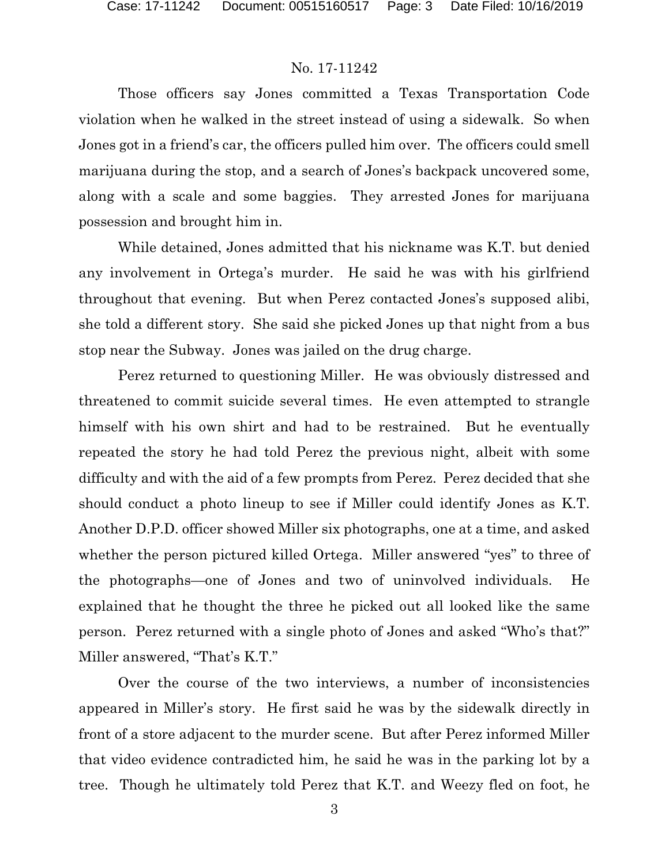Those officers say Jones committed a Texas Transportation Code violation when he walked in the street instead of using a sidewalk. So when Jones got in a friend's car, the officers pulled him over. The officers could smell marijuana during the stop, and a search of Jones's backpack uncovered some, along with a scale and some baggies. They arrested Jones for marijuana possession and brought him in.

While detained, Jones admitted that his nickname was K.T. but denied any involvement in Ortega's murder. He said he was with his girlfriend throughout that evening. But when Perez contacted Jones's supposed alibi, she told a different story. She said she picked Jones up that night from a bus stop near the Subway. Jones was jailed on the drug charge.

Perez returned to questioning Miller. He was obviously distressed and threatened to commit suicide several times. He even attempted to strangle himself with his own shirt and had to be restrained. But he eventually repeated the story he had told Perez the previous night, albeit with some difficulty and with the aid of a few prompts from Perez. Perez decided that she should conduct a photo lineup to see if Miller could identify Jones as K.T. Another D.P.D. officer showed Miller six photographs, one at a time, and asked whether the person pictured killed Ortega. Miller answered "yes" to three of the photographs—one of Jones and two of uninvolved individuals. He explained that he thought the three he picked out all looked like the same person. Perez returned with a single photo of Jones and asked "Who's that?" Miller answered, "That's K.T."

Over the course of the two interviews, a number of inconsistencies appeared in Miller's story. He first said he was by the sidewalk directly in front of a store adjacent to the murder scene. But after Perez informed Miller that video evidence contradicted him, he said he was in the parking lot by a tree. Though he ultimately told Perez that K.T. and Weezy fled on foot, he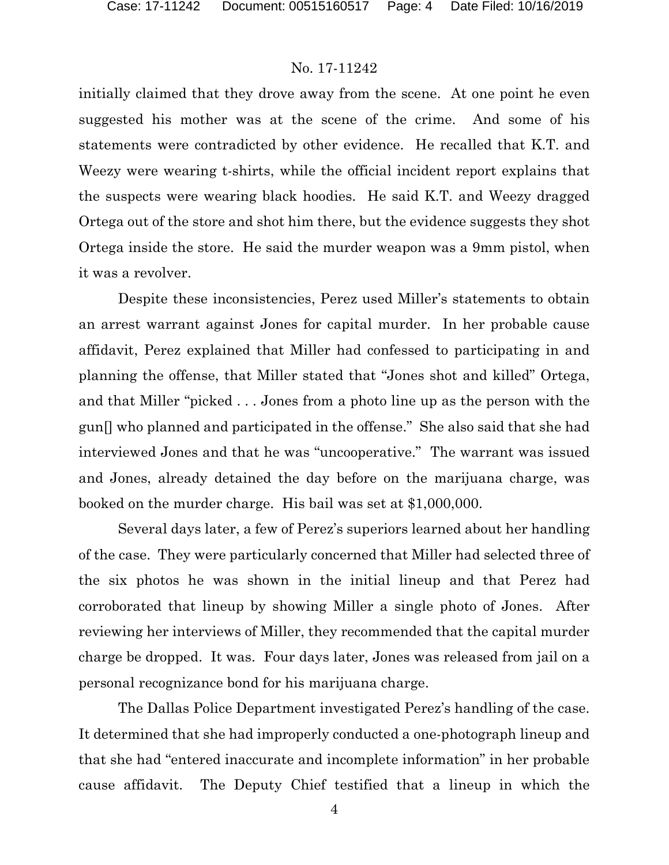initially claimed that they drove away from the scene. At one point he even suggested his mother was at the scene of the crime. And some of his statements were contradicted by other evidence. He recalled that K.T. and Weezy were wearing t-shirts, while the official incident report explains that the suspects were wearing black hoodies. He said K.T. and Weezy dragged Ortega out of the store and shot him there, but the evidence suggests they shot Ortega inside the store. He said the murder weapon was a 9mm pistol, when it was a revolver.

Despite these inconsistencies, Perez used Miller's statements to obtain an arrest warrant against Jones for capital murder. In her probable cause affidavit, Perez explained that Miller had confessed to participating in and planning the offense, that Miller stated that "Jones shot and killed" Ortega, and that Miller "picked . . . Jones from a photo line up as the person with the gun[] who planned and participated in the offense." She also said that she had interviewed Jones and that he was "uncooperative." The warrant was issued and Jones, already detained the day before on the marijuana charge, was booked on the murder charge. His bail was set at \$1,000,000.

Several days later, a few of Perez's superiors learned about her handling of the case. They were particularly concerned that Miller had selected three of the six photos he was shown in the initial lineup and that Perez had corroborated that lineup by showing Miller a single photo of Jones. After reviewing her interviews of Miller, they recommended that the capital murder charge be dropped. It was. Four days later, Jones was released from jail on a personal recognizance bond for his marijuana charge.

The Dallas Police Department investigated Perez's handling of the case. It determined that she had improperly conducted a one-photograph lineup and that she had "entered inaccurate and incomplete information" in her probable cause affidavit. The Deputy Chief testified that a lineup in which the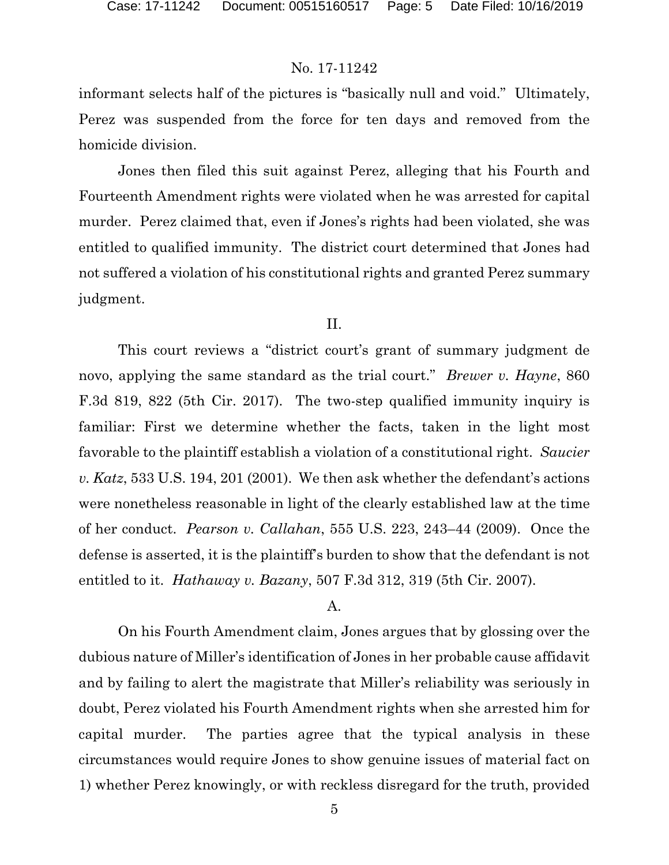informant selects half of the pictures is "basically null and void." Ultimately, Perez was suspended from the force for ten days and removed from the homicide division.

Jones then filed this suit against Perez, alleging that his Fourth and Fourteenth Amendment rights were violated when he was arrested for capital murder. Perez claimed that, even if Jones's rights had been violated, she was entitled to qualified immunity. The district court determined that Jones had not suffered a violation of his constitutional rights and granted Perez summary judgment.

### II.

This court reviews a "district court's grant of summary judgment de novo, applying the same standard as the trial court." *Brewer v. Hayne*, 860 F.3d 819, 822 (5th Cir. 2017). The two-step qualified immunity inquiry is familiar: First we determine whether the facts, taken in the light most favorable to the plaintiff establish a violation of a constitutional right. *Saucier v. Katz*, 533 U.S. 194, 201 (2001). We then ask whether the defendant's actions were nonetheless reasonable in light of the clearly established law at the time of her conduct. *Pearson v. Callahan*, 555 U.S. 223, 243–44 (2009). Once the defense is asserted, it is the plaintiff's burden to show that the defendant is not entitled to it. *Hathaway v. Bazany*, 507 F.3d 312, 319 (5th Cir. 2007).

# A.

On his Fourth Amendment claim, Jones argues that by glossing over the dubious nature of Miller's identification of Jones in her probable cause affidavit and by failing to alert the magistrate that Miller's reliability was seriously in doubt, Perez violated his Fourth Amendment rights when she arrested him for capital murder. The parties agree that the typical analysis in these circumstances would require Jones to show genuine issues of material fact on 1) whether Perez knowingly, or with reckless disregard for the truth, provided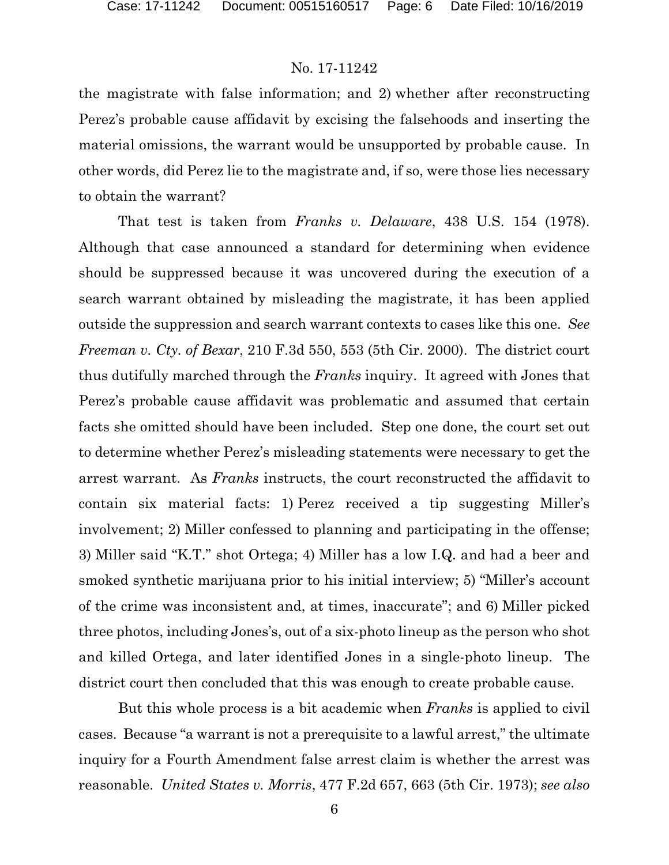the magistrate with false information; and 2) whether after reconstructing Perez's probable cause affidavit by excising the falsehoods and inserting the material omissions, the warrant would be unsupported by probable cause. In other words, did Perez lie to the magistrate and, if so, were those lies necessary to obtain the warrant?

That test is taken from *Franks v. Delaware*, 438 U.S. 154 (1978). Although that case announced a standard for determining when evidence should be suppressed because it was uncovered during the execution of a search warrant obtained by misleading the magistrate, it has been applied outside the suppression and search warrant contexts to cases like this one. *See Freeman v. Cty. of Bexar*, 210 F.3d 550, 553 (5th Cir. 2000). The district court thus dutifully marched through the *Franks* inquiry. It agreed with Jones that Perez's probable cause affidavit was problematic and assumed that certain facts she omitted should have been included. Step one done, the court set out to determine whether Perez's misleading statements were necessary to get the arrest warrant. As *Franks* instructs, the court reconstructed the affidavit to contain six material facts: 1) Perez received a tip suggesting Miller's involvement; 2) Miller confessed to planning and participating in the offense; 3) Miller said "K.T." shot Ortega; 4) Miller has a low I.Q. and had a beer and smoked synthetic marijuana prior to his initial interview; 5) "Miller's account of the crime was inconsistent and, at times, inaccurate"; and 6) Miller picked three photos, including Jones's, out of a six-photo lineup as the person who shot and killed Ortega, and later identified Jones in a single-photo lineup. The district court then concluded that this was enough to create probable cause.

But this whole process is a bit academic when *Franks* is applied to civil cases. Because "a warrant is not a prerequisite to a lawful arrest," the ultimate inquiry for a Fourth Amendment false arrest claim is whether the arrest was reasonable. *United States v. Morris*, 477 F.2d 657, 663 (5th Cir. 1973); *see also*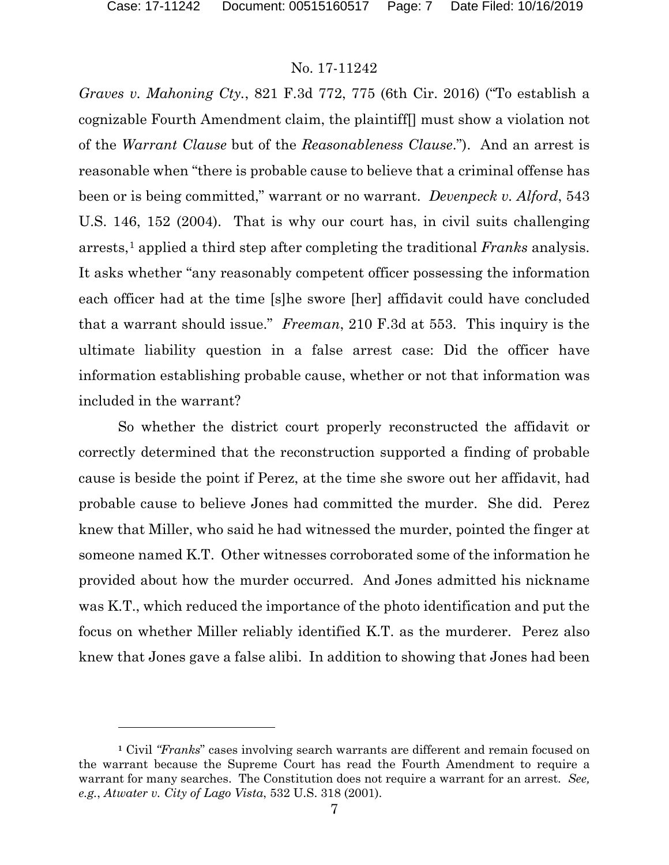# No. 17-11242

*Graves v. Mahoning Cty.*, 821 F.3d 772, 775 (6th Cir. 2016) ("To establish a cognizable Fourth Amendment claim, the plaintiff[] must show a violation not of the *Warrant Clause* but of the *Reasonableness Clause*."). And an arrest is reasonable when "there is probable cause to believe that a criminal offense has been or is being committed," warrant or no warrant. *Devenpeck v. Alford*, 543 U.S. 146, 152 (2004). That is why our court has, in civil suits challenging arrests,[1](#page-6-0) applied a third step after completing the traditional *Franks* analysis. It asks whether "any reasonably competent officer possessing the information each officer had at the time [s]he swore [her] affidavit could have concluded that a warrant should issue." *Freeman*, 210 F.3d at 553. This inquiry is the ultimate liability question in a false arrest case: Did the officer have information establishing probable cause, whether or not that information was included in the warrant?

So whether the district court properly reconstructed the affidavit or correctly determined that the reconstruction supported a finding of probable cause is beside the point if Perez, at the time she swore out her affidavit, had probable cause to believe Jones had committed the murder. She did. Perez knew that Miller, who said he had witnessed the murder, pointed the finger at someone named K.T. Other witnesses corroborated some of the information he provided about how the murder occurred. And Jones admitted his nickname was K.T., which reduced the importance of the photo identification and put the focus on whether Miller reliably identified K.T. as the murderer. Perez also knew that Jones gave a false alibi. In addition to showing that Jones had been

<span id="page-6-0"></span>**<sup>1</sup>** Civil *"Franks*" cases involving search warrants are different and remain focused on the warrant because the Supreme Court has read the Fourth Amendment to require a warrant for many searches. The Constitution does not require a warrant for an arrest. *See, e.g.*, *Atwater v. City of Lago Vista*, 532 U.S. 318 (2001).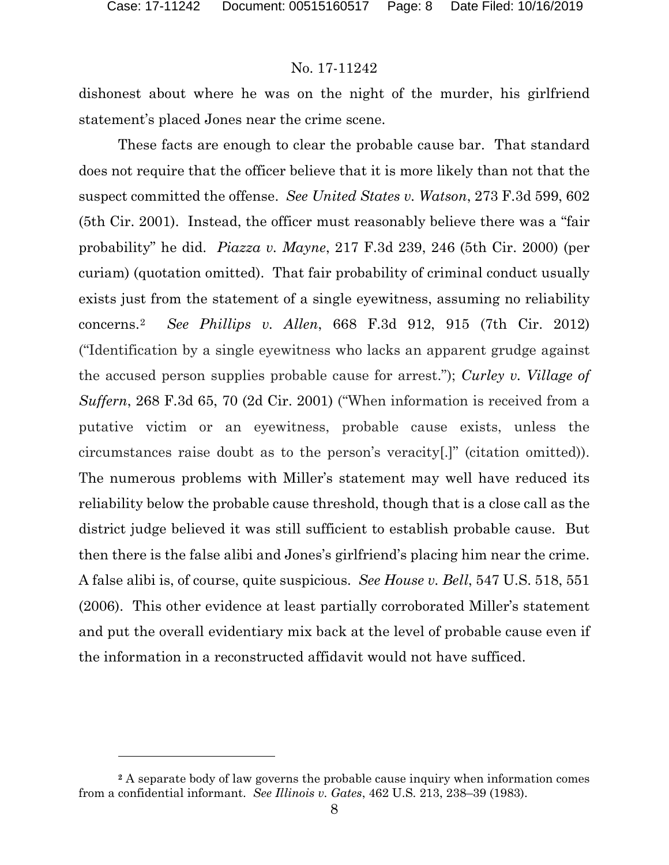### No. 17-11242

dishonest about where he was on the night of the murder, his girlfriend statement's placed Jones near the crime scene.

These facts are enough to clear the probable cause bar. That standard does not require that the officer believe that it is more likely than not that the suspect committed the offense. *See United States v. Watson*, 273 F.3d 599, 602 (5th Cir. 2001). Instead, the officer must reasonably believe there was a "fair probability" he did. *Piazza v. Mayne*, 217 F.3d 239, 246 (5th Cir. 2000) (per curiam) (quotation omitted). That fair probability of criminal conduct usually exists just from the statement of a single eyewitness, assuming no reliability concerns.[2](#page-7-0) *See Phillips v. Allen*, 668 F.3d 912, 915 (7th Cir. 2012) ("Identification by a single eyewitness who lacks an apparent grudge against the accused person supplies probable cause for arrest."); *Curley v. Village of Suffern*, 268 F.3d 65, 70 (2d Cir. 2001) ("When information is received from a putative victim or an eyewitness, probable cause exists, unless the circumstances raise doubt as to the person's veracity[.]" (citation omitted)). The numerous problems with Miller's statement may well have reduced its reliability below the probable cause threshold, though that is a close call as the district judge believed it was still sufficient to establish probable cause. But then there is the false alibi and Jones's girlfriend's placing him near the crime. A false alibi is, of course, quite suspicious. *See House v. Bell*, 547 U.S. 518, 551 (2006). This other evidence at least partially corroborated Miller's statement and put the overall evidentiary mix back at the level of probable cause even if the information in a reconstructed affidavit would not have sufficed.

<span id="page-7-0"></span>**<sup>2</sup>** A separate body of law governs the probable cause inquiry when information comes from a confidential informant. *See Illinois v. Gates*, 462 U.S. 213, 238–39 (1983).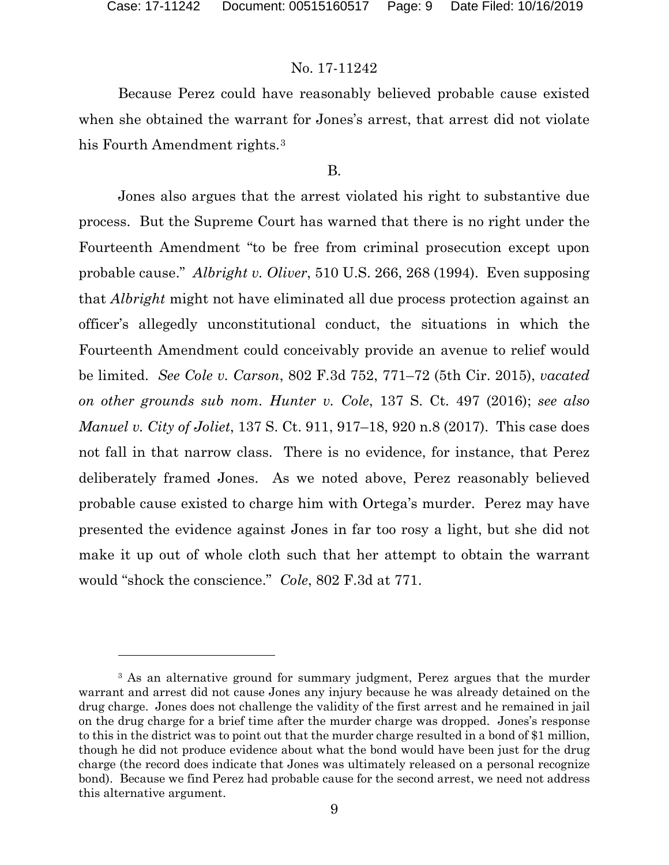# No. 17-11242

Because Perez could have reasonably believed probable cause existed when she obtained the warrant for Jones's arrest, that arrest did not violate his Fourth Amendment rights.<sup>[3](#page-8-0)</sup>

# B.

Jones also argues that the arrest violated his right to substantive due process. But the Supreme Court has warned that there is no right under the Fourteenth Amendment "to be free from criminal prosecution except upon probable cause." *Albright v. Oliver*, 510 U.S. 266, 268 (1994). Even supposing that *Albright* might not have eliminated all due process protection against an officer's allegedly unconstitutional conduct, the situations in which the Fourteenth Amendment could conceivably provide an avenue to relief would be limited. *See Cole v. Carson*, 802 F.3d 752, 771–72 (5th Cir. 2015), *vacated on other grounds sub nom. Hunter v. Cole*, 137 S. Ct. 497 (2016); *see also Manuel v. City of Joliet*, 137 S. Ct. 911, 917–18, 920 n.8 (2017). This case does not fall in that narrow class. There is no evidence, for instance, that Perez deliberately framed Jones. As we noted above, Perez reasonably believed probable cause existed to charge him with Ortega's murder. Perez may have presented the evidence against Jones in far too rosy a light, but she did not make it up out of whole cloth such that her attempt to obtain the warrant would "shock the conscience." *Cole*, 802 F.3d at 771.

<span id="page-8-0"></span><sup>&</sup>lt;sup>3</sup> As an alternative ground for summary judgment, Perez argues that the murder warrant and arrest did not cause Jones any injury because he was already detained on the drug charge. Jones does not challenge the validity of the first arrest and he remained in jail on the drug charge for a brief time after the murder charge was dropped. Jones's response to this in the district was to point out that the murder charge resulted in a bond of \$1 million, though he did not produce evidence about what the bond would have been just for the drug charge (the record does indicate that Jones was ultimately released on a personal recognize bond). Because we find Perez had probable cause for the second arrest, we need not address this alternative argument.